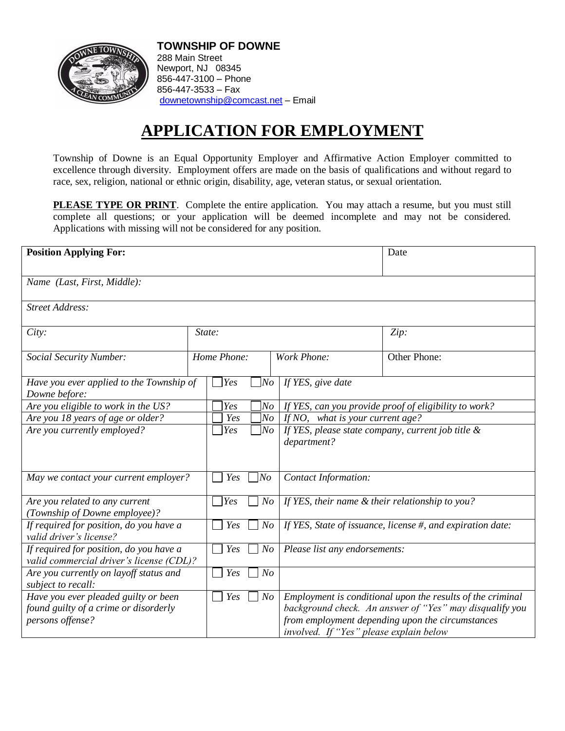

**TOWNSHIP OF DOWNE** 288 Main Street Newport, NJ 08345 856-447-3100 – Phone 856-447-3533 – Fax [downetownship@comcast.net](mailto:downetownship@comcast.net) – Email

## **APPLICATION FOR EMPLOYMENT**

Township of Downe is an Equal Opportunity Employer and Affirmative Action Employer committed to excellence through diversity. Employment offers are made on the basis of qualifications and without regard to race, sex, religion, national or ethnic origin, disability, age, veteran status, or sexual orientation.

**PLEASE TYPE OR PRINT**. Complete the entire application. You may attach a resume, but you must still complete all questions; or your application will be deemed incomplete and may not be considered. Applications with missing will not be considered for any position.

| <b>Position Applying For:</b>                                                                                   |                                              | Date                                                                                                                                                                      |  |
|-----------------------------------------------------------------------------------------------------------------|----------------------------------------------|---------------------------------------------------------------------------------------------------------------------------------------------------------------------------|--|
|                                                                                                                 |                                              |                                                                                                                                                                           |  |
| Name (Last, First, Middle):                                                                                     |                                              |                                                                                                                                                                           |  |
| <b>Street Address:</b>                                                                                          |                                              |                                                                                                                                                                           |  |
| City:                                                                                                           | State:                                       | Zip:                                                                                                                                                                      |  |
| <b>Social Security Number:</b>                                                                                  | Home Phone:                                  | Other Phone:<br>Work Phone:                                                                                                                                               |  |
| Have you ever applied to the Township of<br>Downe before:                                                       | $\exists$ Yes<br>$N$ o                       | If YES, give date                                                                                                                                                         |  |
| Are you eligible to work in the US?                                                                             | Yes<br>No                                    | If YES, can you provide proof of eligibility to work?                                                                                                                     |  |
| Are you 18 years of age or older?                                                                               | N <sub>O</sub><br>Yes                        | If NO, what is your current age?                                                                                                                                          |  |
| Are you currently employed?                                                                                     | Yes<br>N <sub>O</sub>                        | If YES, please state company, current job title &<br>department?                                                                                                          |  |
| May we contact your current employer?                                                                           | Yes<br>N <sub>O</sub>                        | Contact Information:                                                                                                                                                      |  |
| Are you related to any current<br>(Township of Downe employee)?                                                 | $\overline{y}_{\text{es}}$<br>N <sub>O</sub> | If YES, their name & their relationship to you?                                                                                                                           |  |
| If required for position, do you have a<br>valid driver's license?                                              | Yes<br>N o                                   | If YES, State of issuance, license #, and expiration date:                                                                                                                |  |
| If required for position, do you have a<br>valid commercial driver's license (CDL)?                             | Yes<br>N <sub>O</sub>                        | Please list any endorsements:                                                                                                                                             |  |
| Are you currently on layoff status and<br>subject to recall:                                                    | N <sub>O</sub><br>Yes                        |                                                                                                                                                                           |  |
| Yes<br>Have you ever pleaded guilty or been<br>N o<br>found guilty of a crime or disorderly<br>persons offense? |                                              | Employment is conditional upon the results of the criminal<br>background check. An answer of "Yes" may disqualify you<br>from employment depending upon the circumstances |  |
|                                                                                                                 |                                              | involved. If "Yes" please explain below                                                                                                                                   |  |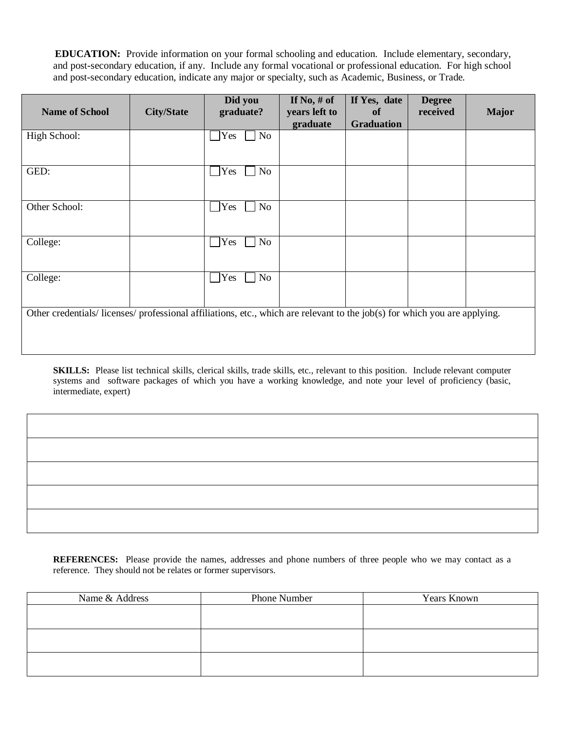**EDUCATION:** Provide information on your formal schooling and education. Include elementary, secondary, and post-secondary education, if any. Include any formal vocational or professional education. For high school and post-secondary education, indicate any major or specialty, such as Academic, Business, or Trade.

| <b>Name of School</b>                                                                                                    | <b>City/State</b> | Did you<br>graduate? | If No, $#$ of<br>years left to | If Yes, date<br>of | <b>Degree</b><br>received | <b>Major</b> |
|--------------------------------------------------------------------------------------------------------------------------|-------------------|----------------------|--------------------------------|--------------------|---------------------------|--------------|
|                                                                                                                          |                   |                      | graduate                       | <b>Graduation</b>  |                           |              |
| High School:                                                                                                             |                   | Yes<br>No            |                                |                    |                           |              |
|                                                                                                                          |                   |                      |                                |                    |                           |              |
| GED:                                                                                                                     |                   | No<br>Yes            |                                |                    |                           |              |
| Other School:                                                                                                            |                   | Yes<br>$\rm No$      |                                |                    |                           |              |
| College:                                                                                                                 |                   | Yes<br>No            |                                |                    |                           |              |
| College:                                                                                                                 |                   | Yes<br>No            |                                |                    |                           |              |
| Other credentials/licenses/professional affiliations, etc., which are relevant to the job(s) for which you are applying. |                   |                      |                                |                    |                           |              |

**SKILLS:** Please list technical skills, clerical skills, trade skills, etc., relevant to this position. Include relevant computer systems and software packages of which you have a working knowledge, and note your level of proficiency (basic, intermediate, expert)

**REFERENCES:** Please provide the names, addresses and phone numbers of three people who we may contact as a reference. They should not be relates or former supervisors.

| Name & Address | Phone Number | Years Known |
|----------------|--------------|-------------|
|                |              |             |
|                |              |             |
|                |              |             |
|                |              |             |
|                |              |             |
|                |              |             |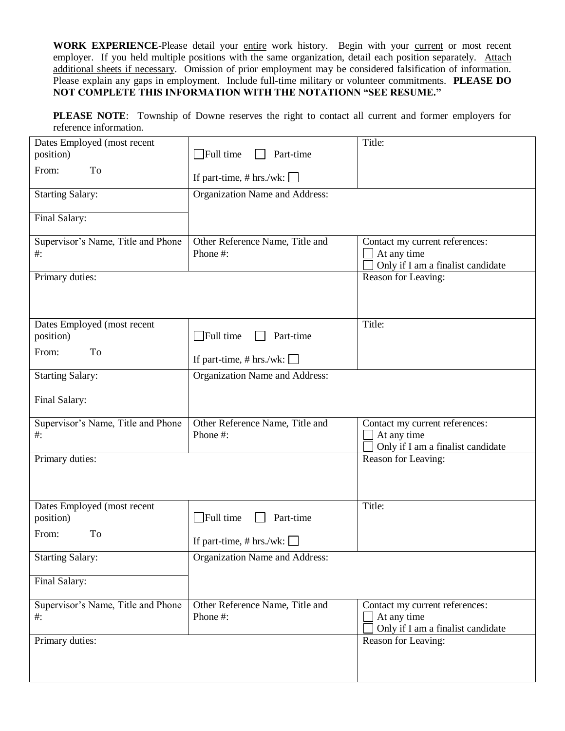WORK EXPERIENCE-Please detail your entire work history. Begin with your current or most recent employer. If you held multiple positions with the same organization, detail each position separately. Attach additional sheets if necessary. Omission of prior employment may be considered falsification of information. Please explain any gaps in employment. Include full-time military or volunteer commitments. **PLEASE DO NOT COMPLETE THIS INFORMATION WITH THE NOTATIONN "SEE RESUME."**

**PLEASE NOTE**: Township of Downe reserves the right to contact all current and former employers for reference information.

| Dates Employed (most recent                  |                                             | Title:                                                                             |
|----------------------------------------------|---------------------------------------------|------------------------------------------------------------------------------------|
| position)                                    | $\Box$ Full time<br>Part-time               |                                                                                    |
| From:<br>To                                  | If part-time, # hrs./wk: $\Box$             |                                                                                    |
| <b>Starting Salary:</b>                      | <b>Organization Name and Address:</b>       |                                                                                    |
| Final Salary:                                |                                             |                                                                                    |
| Supervisor's Name, Title and Phone<br>#:     | Other Reference Name, Title and<br>Phone#:  | Contact my current references:<br>At any time<br>Only if I am a finalist candidate |
| Primary duties:                              |                                             | Reason for Leaving:                                                                |
| Dates Employed (most recent<br>position)     | $\Box$ Full time<br>Part-time               | Title:                                                                             |
| To<br>From:                                  | If part-time, $# hrs./wk:$                  |                                                                                    |
| <b>Starting Salary:</b>                      | Organization Name and Address:              |                                                                                    |
| Final Salary:                                |                                             |                                                                                    |
| Supervisor's Name, Title and Phone<br>$\#$ : | Other Reference Name, Title and<br>Phone #: | Contact my current references:<br>At any time<br>Only if I am a finalist candidate |
| Primary duties:                              |                                             | Reason for Leaving:                                                                |
| Dates Employed (most recent<br>position)     | $\Box$ Full time<br>Part-time               | Title:                                                                             |
| From:<br>To                                  | If part-time, # hrs./wk: $\Box$             |                                                                                    |
| <b>Starting Salary:</b>                      | Organization Name and Address:              |                                                                                    |
| Final Salary:                                |                                             |                                                                                    |
| Supervisor's Name, Title and Phone<br>$\#$ : | Other Reference Name, Title and<br>Phone #: | Contact my current references:<br>At any time<br>Only if I am a finalist candidate |
| Primary duties:                              |                                             | Reason for Leaving:                                                                |